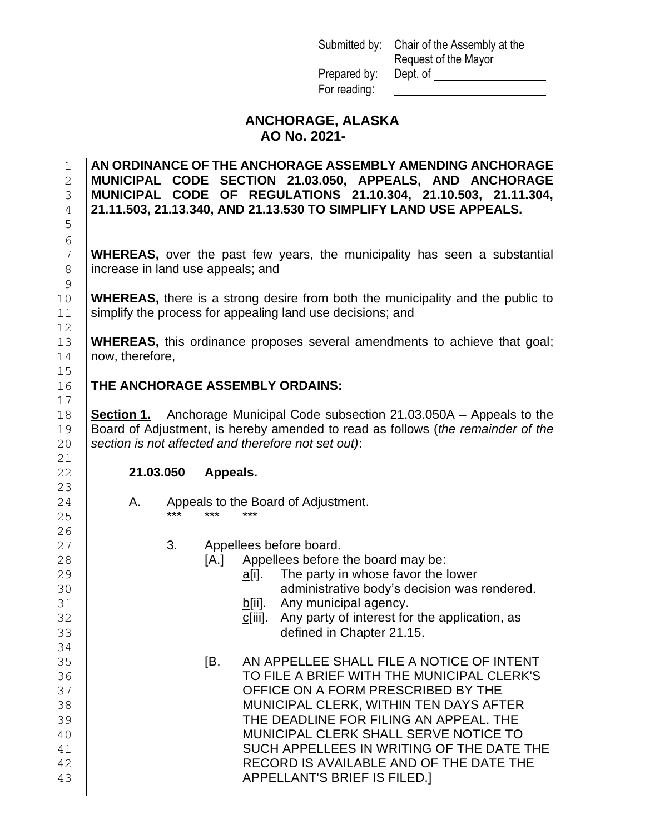Submitted by: Chair of the Assembly at the Request of the Mayor Prepared by: Dept. of For reading:

# **ANCHORAGE, ALASKA AO No. 2021-\_\_\_\_\_**

### **AN ORDINANCE OF THE ANCHORAGE ASSEMBLY AMENDING ANCHORAGE MUNICIPAL CODE SECTION 21.03.050, APPEALS, AND ANCHORAGE MUNICIPAL CODE OF REGULATIONS 21.10.304, 21.10.503, 21.11.304, 21.11.503, 21.13.340, AND 21.13.530 TO SIMPLIFY LAND USE APPEALS.**

 **WHEREAS,** over the past few years, the municipality has seen a substantial 8 lincrease in land use appeals; and

 **WHEREAS,** there is a strong desire from both the municipality and the public to 11 Simplify the process for appealing land use decisions; and

 **WHEREAS,** this ordinance proposes several amendments to achieve that goal; 14 | now, therefore,

## **THE ANCHORAGE ASSEMBLY ORDAINS:**

 **Section 1.** Anchorage Municipal Code subsection 21.03.050A – Appeals to the Board of Adjustment, is hereby amended to read as follows (*the remainder of the section is not affected and therefore not set out)*:

### **21.03.050 Appeals.**

- | A. Appeals to the Board of Adjustment. \*\*\* \*\*\* \*\*\*
- 27 | 3. Appellees before board.
- **[A.]** Appellees before the board may be:
- **b against in the party in whose favor the lower** contained a set of the lower administrative body's decision was rendered.
- **b**[ii]. Any municipal agency.
- **Fig. 2** constantly constructed by the application, as constructed by constraining constraining and solution of the application, as defined in Chapter 21.15.
- [B. AN APPELLEE SHALL FILE A NOTICE OF INTENT TO FILE A BRIEF WITH THE MUNICIPAL CLERK'S OFFICE ON A FORM PRESCRIBED BY THE MUNICIPAL CLERK, WITHIN TEN DAYS AFTER THE DEADLINE FOR FILING AN APPEAL. THE MUNICIPAL CLERK SHALL SERVE NOTICE TO SUCH APPELLEES IN WRITING OF THE DATE THE 42 | RECORD IS AVAILABLE AND OF THE DATE THE APPELLANT'S BRIEF IS FILED.]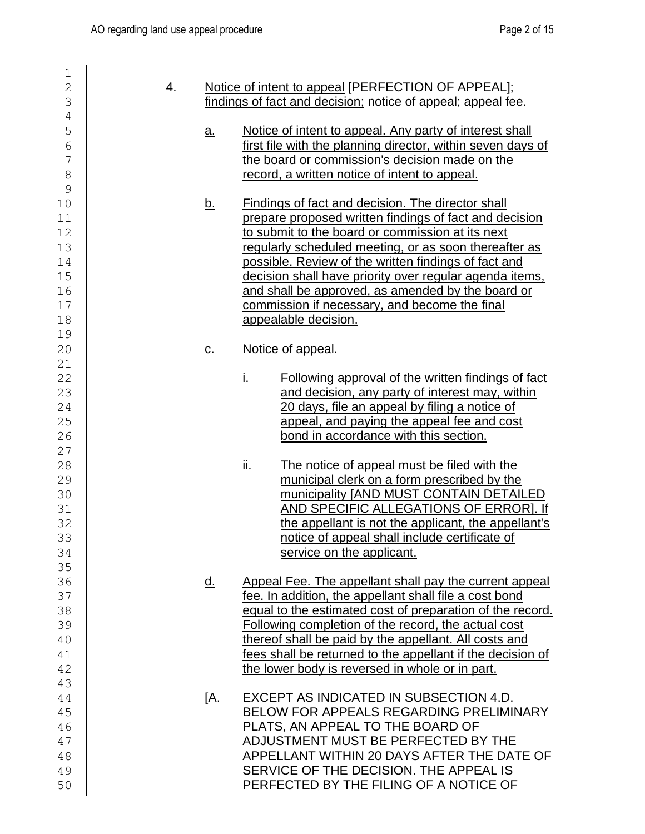| 1                        |    |                   |                                                              |
|--------------------------|----|-------------------|--------------------------------------------------------------|
| $\overline{2}$           | 4. |                   | Notice of intent to appeal [PERFECTION OF APPEAL];           |
| 3                        |    |                   | findings of fact and decision; notice of appeal; appeal fee. |
| $\sqrt{4}$               |    |                   |                                                              |
| 5                        |    | <u>a.</u>         | Notice of intent to appeal. Any party of interest shall      |
| 6                        |    |                   | first file with the planning director, within seven days of  |
| $\overline{\phantom{a}}$ |    |                   | the board or commission's decision made on the               |
| 8                        |    |                   | record, a written notice of intent to appeal.                |
| 9                        |    |                   |                                                              |
| 10                       |    |                   | <b>Findings of fact and decision. The director shall</b>     |
|                          |    | <u>b.</u>         |                                                              |
| 11                       |    |                   | prepare proposed written findings of fact and decision       |
| 12                       |    |                   | to submit to the board or commission at its next             |
| 13                       |    |                   | regularly scheduled meeting, or as soon thereafter as        |
| 14                       |    |                   | possible. Review of the written findings of fact and         |
| 15                       |    |                   | decision shall have priority over regular agenda items,      |
| 16                       |    |                   | and shall be approved, as amended by the board or            |
| 17                       |    |                   | commission if necessary, and become the final                |
| 18                       |    |                   | appealable decision.                                         |
| 19                       |    |                   |                                                              |
| 20                       |    | $\underline{C}$ . | Notice of appeal.                                            |
| 21                       |    |                   |                                                              |
| 22                       |    |                   | į.<br>Following approval of the written findings of fact     |
| 23                       |    |                   | and decision, any party of interest may, within              |
| 24                       |    |                   | 20 days, file an appeal by filing a notice of                |
| 25                       |    |                   | appeal, and paying the appeal fee and cost                   |
| 26                       |    |                   | bond in accordance with this section.                        |
| 27                       |    |                   |                                                              |
| 28                       |    |                   | <u>іі.</u><br>The notice of appeal must be filed with the    |
| 29                       |    |                   | municipal clerk on a form prescribed by the                  |
| 30                       |    |                   | municipality [AND MUST CONTAIN DETAILED                      |
| 31                       |    |                   | AND SPECIFIC ALLEGATIONS OF ERROR]. If                       |
| 32                       |    |                   | the appellant is not the applicant, the appellant's          |
| 33                       |    |                   | notice of appeal shall include certificate of                |
| 34                       |    |                   | service on the applicant.                                    |
| 35                       |    |                   |                                                              |
| 36                       |    | <u>d.</u>         | Appeal Fee. The appellant shall pay the current appeal       |
| 37                       |    |                   | fee. In addition, the appellant shall file a cost bond       |
| 38                       |    |                   | equal to the estimated cost of preparation of the record.    |
| 39                       |    |                   | Following completion of the record, the actual cost          |
| 40                       |    |                   | thereof shall be paid by the appellant. All costs and        |
| 41                       |    |                   | fees shall be returned to the appellant if the decision of   |
| 42                       |    |                   | the lower body is reversed in whole or in part.              |
| 43                       |    |                   |                                                              |
| 44                       |    | ſА.               | EXCEPT AS INDICATED IN SUBSECTION 4.D.                       |
| 45                       |    |                   | BELOW FOR APPEALS REGARDING PRELIMINARY                      |
| 46                       |    |                   | PLATS, AN APPEAL TO THE BOARD OF                             |
| 47                       |    |                   | ADJUSTMENT MUST BE PERFECTED BY THE                          |
| 48                       |    |                   | APPELLANT WITHIN 20 DAYS AFTER THE DATE OF                   |
| 49                       |    |                   | SERVICE OF THE DECISION. THE APPEAL IS                       |
| 50                       |    |                   | PERFECTED BY THE FILING OF A NOTICE OF                       |
|                          |    |                   |                                                              |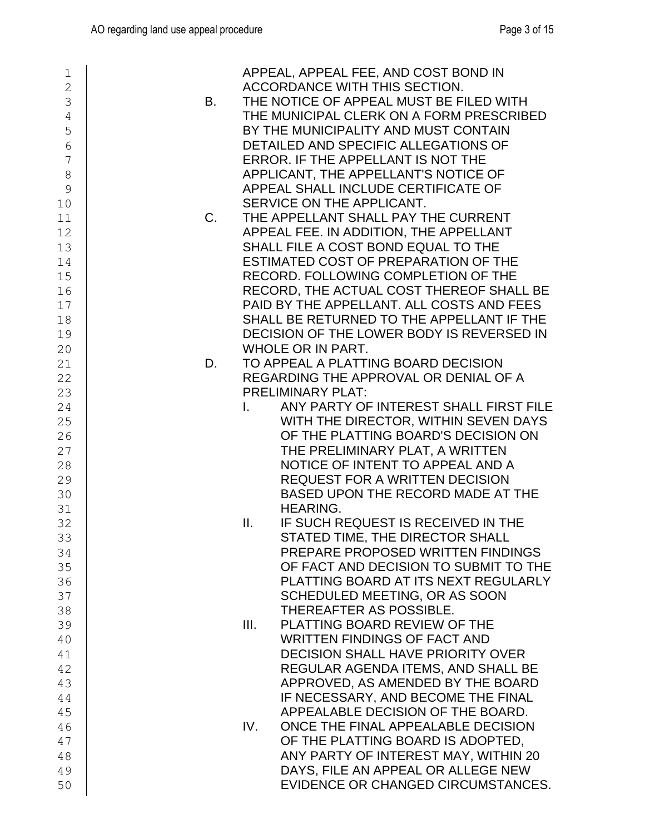| 1              |           | APPEAL, APPEAL FEE, AND COST BOND IN         |
|----------------|-----------|----------------------------------------------|
| $\overline{2}$ |           | ACCORDANCE WITH THIS SECTION.                |
| 3              | <b>B.</b> | THE NOTICE OF APPEAL MUST BE FILED WITH      |
| $\overline{4}$ |           | THE MUNICIPAL CLERK ON A FORM PRESCRIBED     |
| 5              |           | BY THE MUNICIPALITY AND MUST CONTAIN         |
| 6              |           | DETAILED AND SPECIFIC ALLEGATIONS OF         |
| 7              |           | ERROR. IF THE APPELLANT IS NOT THE           |
|                |           |                                              |
| 8              |           | APPLICANT, THE APPELLANT'S NOTICE OF         |
| 9              |           | APPEAL SHALL INCLUDE CERTIFICATE OF          |
| 10             |           | SERVICE ON THE APPLICANT.                    |
| 11             | C.        | THE APPELLANT SHALL PAY THE CURRENT          |
| 12             |           | APPEAL FEE. IN ADDITION, THE APPELLANT       |
| 13             |           | SHALL FILE A COST BOND EQUAL TO THE          |
| 14             |           | ESTIMATED COST OF PREPARATION OF THE         |
| 15             |           | RECORD. FOLLOWING COMPLETION OF THE          |
| 16             |           | RECORD, THE ACTUAL COST THEREOF SHALL BE     |
| 17             |           | PAID BY THE APPELLANT. ALL COSTS AND FEES    |
| 18             |           | SHALL BE RETURNED TO THE APPELLANT IF THE    |
| 19             |           | DECISION OF THE LOWER BODY IS REVERSED IN    |
| 20             |           | WHOLE OR IN PART.                            |
| 21             | D.        | TO APPEAL A PLATTING BOARD DECISION          |
| 22             |           | REGARDING THE APPROVAL OR DENIAL OF A        |
| 23             |           | <b>PRELIMINARY PLAT:</b>                     |
| 24             |           | ANY PARTY OF INTEREST SHALL FIRST FILE<br>T. |
| 25             |           | WITH THE DIRECTOR, WITHIN SEVEN DAYS         |
|                |           | OF THE PLATTING BOARD'S DECISION ON          |
| 26             |           |                                              |
| 27             |           | THE PRELIMINARY PLAT, A WRITTEN              |
| 28             |           | NOTICE OF INTENT TO APPEAL AND A             |
| 29             |           | <b>REQUEST FOR A WRITTEN DECISION</b>        |
| 30             |           | BASED UPON THE RECORD MADE AT THE            |
| 31             |           | <b>HEARING.</b>                              |
| 32             |           | II.<br>IF SUCH REQUEST IS RECEIVED IN THE    |
| 33             |           | STATED TIME, THE DIRECTOR SHALL              |
| 34             |           | PREPARE PROPOSED WRITTEN FINDINGS            |
| 35             |           | OF FACT AND DECISION TO SUBMIT TO THE        |
| 36             |           | PLATTING BOARD AT ITS NEXT REGULARLY         |
| 37             |           | SCHEDULED MEETING, OR AS SOON                |
| 38             |           | THEREAFTER AS POSSIBLE.                      |
| 39             |           | III.<br>PLATTING BOARD REVIEW OF THE         |
| 40             |           | <b>WRITTEN FINDINGS OF FACT AND</b>          |
| 41             |           | <b>DECISION SHALL HAVE PRIORITY OVER</b>     |
| 42             |           | REGULAR AGENDA ITEMS, AND SHALL BE           |
| 43             |           | APPROVED, AS AMENDED BY THE BOARD            |
| 44             |           | IF NECESSARY, AND BECOME THE FINAL           |
| 45             |           | APPEALABLE DECISION OF THE BOARD.            |
| 46             |           | ONCE THE FINAL APPEALABLE DECISION<br>IV.    |
| 47             |           | OF THE PLATTING BOARD IS ADOPTED,            |
| 48             |           | ANY PARTY OF INTEREST MAY, WITHIN 20         |
| 49             |           | DAYS, FILE AN APPEAL OR ALLEGE NEW           |
| 50             |           | EVIDENCE OR CHANGED CIRCUMSTANCES.           |
|                |           |                                              |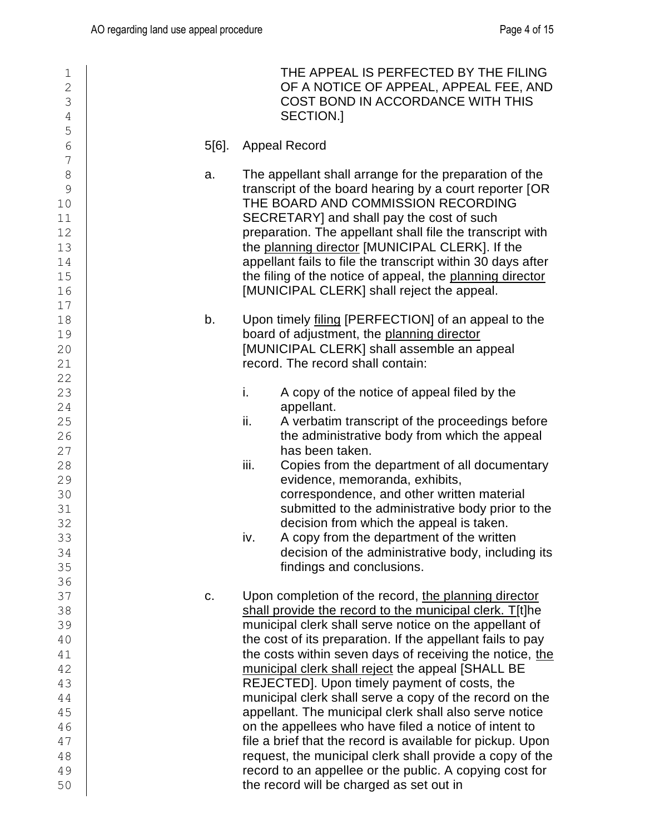| 1<br>$\overline{2}$<br>3<br>$\overline{4}$                                                |    | THE APPEAL IS PERFECTED BY THE FILING<br>OF A NOTICE OF APPEAL, APPEAL FEE, AND<br>COST BOND IN ACCORDANCE WITH THIS<br>SECTION.]                                                                                                                                                                                                                                                                                                                                                                                                                                                                                                                                                                                                                                                                                       |
|-------------------------------------------------------------------------------------------|----|-------------------------------------------------------------------------------------------------------------------------------------------------------------------------------------------------------------------------------------------------------------------------------------------------------------------------------------------------------------------------------------------------------------------------------------------------------------------------------------------------------------------------------------------------------------------------------------------------------------------------------------------------------------------------------------------------------------------------------------------------------------------------------------------------------------------------|
| 5<br>$\overline{6}$                                                                       |    | 5[6].<br><b>Appeal Record</b>                                                                                                                                                                                                                                                                                                                                                                                                                                                                                                                                                                                                                                                                                                                                                                                           |
| $\overline{\phantom{a}}$<br>$\delta$<br>9<br>10<br>11<br>12<br>13<br>14<br>15<br>16<br>17 | a. | The appellant shall arrange for the preparation of the<br>transcript of the board hearing by a court reporter [OR<br>THE BOARD AND COMMISSION RECORDING<br>SECRETARY] and shall pay the cost of such<br>preparation. The appellant shall file the transcript with<br>the planning director [MUNICIPAL CLERK]. If the<br>appellant fails to file the transcript within 30 days after<br>the filing of the notice of appeal, the planning director<br>[MUNICIPAL CLERK] shall reject the appeal.                                                                                                                                                                                                                                                                                                                          |
| 18<br>19<br>20<br>21                                                                      | b. | Upon timely filing [PERFECTION] of an appeal to the<br>board of adjustment, the planning director<br>[MUNICIPAL CLERK] shall assemble an appeal<br>record. The record shall contain:                                                                                                                                                                                                                                                                                                                                                                                                                                                                                                                                                                                                                                    |
| 22<br>23<br>24<br>25<br>26<br>27<br>28<br>29<br>30<br>31<br>32<br>33<br>34<br>35<br>36    |    | i.<br>A copy of the notice of appeal filed by the<br>appellant.<br>ii.<br>A verbatim transcript of the proceedings before<br>the administrative body from which the appeal<br>has been taken.<br>iii.<br>Copies from the department of all documentary<br>evidence, memoranda, exhibits,<br>correspondence, and other written material<br>submitted to the administrative body prior to the<br>decision from which the appeal is taken.<br>A copy from the department of the written<br>iv.<br>decision of the administrative body, including its<br>findings and conclusions.                                                                                                                                                                                                                                          |
| 37<br>38<br>39<br>40<br>41<br>42<br>43<br>44<br>45<br>46<br>47<br>48<br>49<br>50          | c. | Upon completion of the record, the planning director<br>shall provide the record to the municipal clerk. T[t]he<br>municipal clerk shall serve notice on the appellant of<br>the cost of its preparation. If the appellant fails to pay<br>the costs within seven days of receiving the notice, the<br>municipal clerk shall reject the appeal [SHALL BE<br>REJECTED]. Upon timely payment of costs, the<br>municipal clerk shall serve a copy of the record on the<br>appellant. The municipal clerk shall also serve notice<br>on the appellees who have filed a notice of intent to<br>file a brief that the record is available for pickup. Upon<br>request, the municipal clerk shall provide a copy of the<br>record to an appellee or the public. A copying cost for<br>the record will be charged as set out in |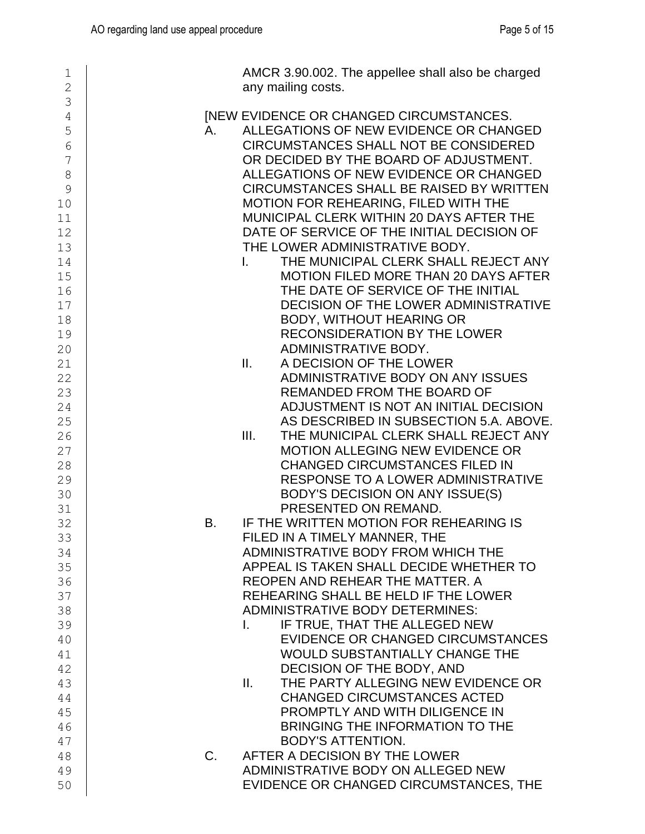| 1<br>$\overline{2}$ | AMCR 3.90.002. The appellee shall also be charged<br>any mailing costs.                      |
|---------------------|----------------------------------------------------------------------------------------------|
| 3                   |                                                                                              |
| $\overline{4}$      | <b>INEW EVIDENCE OR CHANGED CIRCUMSTANCES.</b>                                               |
| 5                   | ALLEGATIONS OF NEW EVIDENCE OR CHANGED<br>A.<br><b>CIRCUMSTANCES SHALL NOT BE CONSIDERED</b> |
| 6<br>7              | OR DECIDED BY THE BOARD OF ADJUSTMENT.                                                       |
| 8                   | ALLEGATIONS OF NEW EVIDENCE OR CHANGED                                                       |
| 9                   | CIRCUMSTANCES SHALL BE RAISED BY WRITTEN                                                     |
| 10                  | MOTION FOR REHEARING, FILED WITH THE                                                         |
| 11                  | MUNICIPAL CLERK WITHIN 20 DAYS AFTER THE                                                     |
| 12                  | DATE OF SERVICE OF THE INITIAL DECISION OF                                                   |
| 13                  | THE LOWER ADMINISTRATIVE BODY.                                                               |
| 14                  | THE MUNICIPAL CLERK SHALL REJECT ANY<br>$\mathbf{L}$                                         |
| 15                  | <b>MOTION FILED MORE THAN 20 DAYS AFTER</b>                                                  |
| 16                  | THE DATE OF SERVICE OF THE INITIAL                                                           |
| 17                  | DECISION OF THE LOWER ADMINISTRATIVE                                                         |
| 18                  | <b>BODY, WITHOUT HEARING OR</b>                                                              |
| 19                  | <b>RECONSIDERATION BY THE LOWER</b>                                                          |
| 20                  | ADMINISTRATIVE BODY.                                                                         |
| 21                  | II.<br>A DECISION OF THE LOWER                                                               |
| 22                  | ADMINISTRATIVE BODY ON ANY ISSUES                                                            |
| 23                  | REMANDED FROM THE BOARD OF                                                                   |
| 24                  | ADJUSTMENT IS NOT AN INITIAL DECISION                                                        |
| 25                  | AS DESCRIBED IN SUBSECTION 5.A. ABOVE.                                                       |
| 26                  | III.<br>THE MUNICIPAL CLERK SHALL REJECT ANY                                                 |
| 27                  | <b>MOTION ALLEGING NEW EVIDENCE OR</b>                                                       |
| 28                  | <b>CHANGED CIRCUMSTANCES FILED IN</b>                                                        |
| 29                  | RESPONSE TO A LOWER ADMINISTRATIVE                                                           |
| 30                  | BODY'S DECISION ON ANY ISSUE(S)                                                              |
| 31                  | PRESENTED ON REMAND.                                                                         |
| 32                  | IF THE WRITTEN MOTION FOR REHEARING IS<br><b>B.</b>                                          |
| 33                  | FILED IN A TIMELY MANNER, THE<br>ADMINISTRATIVE BODY FROM WHICH THE                          |
| 34                  | APPEAL IS TAKEN SHALL DECIDE WHETHER TO                                                      |
| 35<br>36            | REOPEN AND REHEAR THE MATTER. A                                                              |
| 37                  | REHEARING SHALL BE HELD IF THE LOWER                                                         |
| 38                  | <b>ADMINISTRATIVE BODY DETERMINES:</b>                                                       |
| 39                  | IF TRUE, THAT THE ALLEGED NEW<br>L.                                                          |
| 40                  | EVIDENCE OR CHANGED CIRCUMSTANCES                                                            |
| 41                  | WOULD SUBSTANTIALLY CHANGE THE                                                               |
| 42                  | DECISION OF THE BODY, AND                                                                    |
| 43                  | THE PARTY ALLEGING NEW EVIDENCE OR<br>Ш.                                                     |
| 44                  | <b>CHANGED CIRCUMSTANCES ACTED</b>                                                           |
| 45                  | PROMPTLY AND WITH DILIGENCE IN                                                               |
| 46                  | BRINGING THE INFORMATION TO THE                                                              |
| 47                  | <b>BODY'S ATTENTION.</b>                                                                     |
| 48                  | AFTER A DECISION BY THE LOWER<br>$C_{\cdot}$                                                 |
| 49                  | ADMINISTRATIVE BODY ON ALLEGED NEW                                                           |
| 50                  | EVIDENCE OR CHANGED CIRCUMSTANCES, THE                                                       |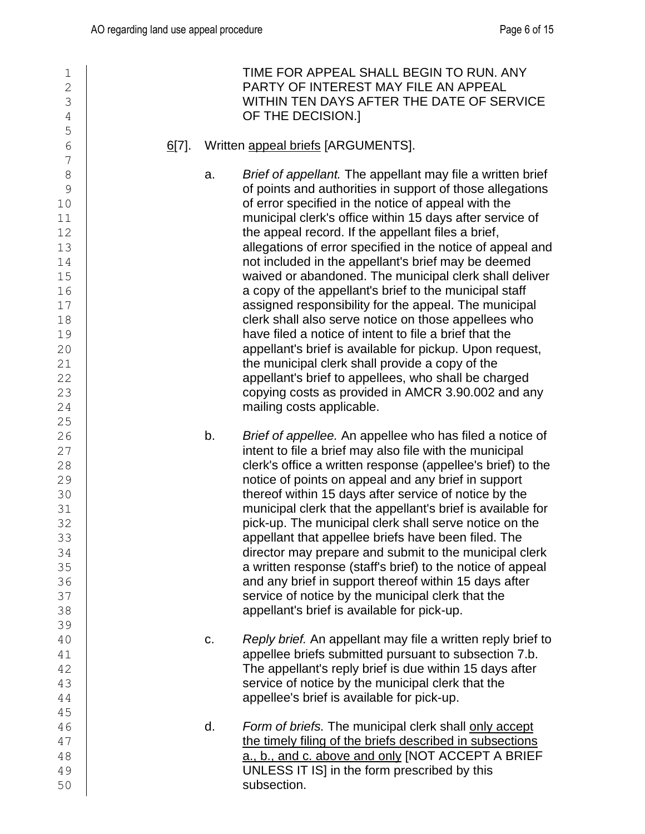| $\mathbf 1$<br>$\overline{2}$<br>3<br>4<br>5                                                           |          |    | TIME FOR APPEAL SHALL BEGIN TO RUN. ANY<br>PARTY OF INTEREST MAY FILE AN APPEAL<br>WITHIN TEN DAYS AFTER THE DATE OF SERVICE<br>OF THE DECISION.]                                                                                                                                                                                                                                                                                                                                                                                                                                                                                                                                                                                                                                                                                                                                                                                                                              |
|--------------------------------------------------------------------------------------------------------|----------|----|--------------------------------------------------------------------------------------------------------------------------------------------------------------------------------------------------------------------------------------------------------------------------------------------------------------------------------------------------------------------------------------------------------------------------------------------------------------------------------------------------------------------------------------------------------------------------------------------------------------------------------------------------------------------------------------------------------------------------------------------------------------------------------------------------------------------------------------------------------------------------------------------------------------------------------------------------------------------------------|
| 6<br>7                                                                                                 | $6[7]$ . |    | Written appeal briefs [ARGUMENTS].                                                                                                                                                                                                                                                                                                                                                                                                                                                                                                                                                                                                                                                                                                                                                                                                                                                                                                                                             |
| 8<br>9<br>10<br>11<br>12<br>13<br>14<br>15<br>16<br>17<br>18<br>19<br>20<br>21<br>22<br>23<br>24<br>25 |          | a. | Brief of appellant. The appellant may file a written brief<br>of points and authorities in support of those allegations<br>of error specified in the notice of appeal with the<br>municipal clerk's office within 15 days after service of<br>the appeal record. If the appellant files a brief,<br>allegations of error specified in the notice of appeal and<br>not included in the appellant's brief may be deemed<br>waived or abandoned. The municipal clerk shall deliver<br>a copy of the appellant's brief to the municipal staff<br>assigned responsibility for the appeal. The municipal<br>clerk shall also serve notice on those appellees who<br>have filed a notice of intent to file a brief that the<br>appellant's brief is available for pickup. Upon request,<br>the municipal clerk shall provide a copy of the<br>appellant's brief to appellees, who shall be charged<br>copying costs as provided in AMCR 3.90.002 and any<br>mailing costs applicable. |
| 26<br>27<br>28<br>29<br>30<br>31<br>32<br>33<br>34<br>35<br>36<br>37<br>38<br>39                       |          | b. | Brief of appellee. An appellee who has filed a notice of<br>intent to file a brief may also file with the municipal<br>clerk's office a written response (appellee's brief) to the<br>notice of points on appeal and any brief in support<br>thereof within 15 days after service of notice by the<br>municipal clerk that the appellant's brief is available for<br>pick-up. The municipal clerk shall serve notice on the<br>appellant that appellee briefs have been filed. The<br>director may prepare and submit to the municipal clerk<br>a written response (staff's brief) to the notice of appeal<br>and any brief in support thereof within 15 days after<br>service of notice by the municipal clerk that the<br>appellant's brief is available for pick-up.                                                                                                                                                                                                        |
| 40<br>41<br>42<br>43<br>44<br>45                                                                       |          | c. | Reply brief. An appellant may file a written reply brief to<br>appellee briefs submitted pursuant to subsection 7.b.<br>The appellant's reply brief is due within 15 days after<br>service of notice by the municipal clerk that the<br>appellee's brief is available for pick-up.                                                                                                                                                                                                                                                                                                                                                                                                                                                                                                                                                                                                                                                                                             |
| 46<br>47<br>48<br>49<br>50                                                                             |          | d. | Form of briefs. The municipal clerk shall only accept<br>the timely filing of the briefs described in subsections<br>a., b., and c. above and only [NOT ACCEPT A BRIEF<br>UNLESS IT IS] in the form prescribed by this<br>subsection.                                                                                                                                                                                                                                                                                                                                                                                                                                                                                                                                                                                                                                                                                                                                          |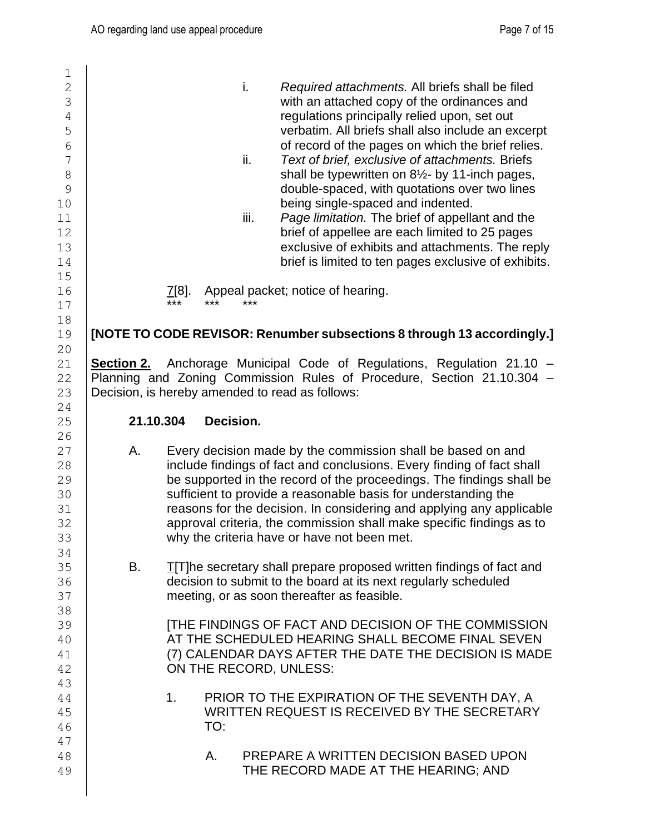| $1\,$               |           |                |           |      |                                                                                                                                                  |
|---------------------|-----------|----------------|-----------|------|--------------------------------------------------------------------------------------------------------------------------------------------------|
| $\overline{c}$      |           |                |           | i.   | Required attachments. All briefs shall be filed                                                                                                  |
| 3                   |           |                |           |      | with an attached copy of the ordinances and                                                                                                      |
| $\sqrt{4}$          |           |                |           |      | regulations principally relied upon, set out                                                                                                     |
| 5<br>$\overline{6}$ |           |                |           |      | verbatim. All briefs shall also include an excerpt<br>of record of the pages on which the brief relies.                                          |
| $\overline{7}$      |           |                |           | ii.  | Text of brief, exclusive of attachments. Briefs                                                                                                  |
| 8                   |           |                |           |      | shall be typewritten on 81/2- by 11-inch pages,                                                                                                  |
| 9                   |           |                |           |      | double-spaced, with quotations over two lines                                                                                                    |
| 10                  |           |                |           |      | being single-spaced and indented.                                                                                                                |
| 11                  |           |                |           | iii. | Page limitation. The brief of appellant and the                                                                                                  |
| 12                  |           |                |           |      | brief of appellee are each limited to 25 pages                                                                                                   |
| 13                  |           |                |           |      | exclusive of exhibits and attachments. The reply                                                                                                 |
| 14<br>15            |           |                |           |      | brief is limited to ten pages exclusive of exhibits.                                                                                             |
| 16                  |           | 7[8].          |           |      | Appeal packet; notice of hearing.                                                                                                                |
| 17                  |           | ***            | ***       | ***  |                                                                                                                                                  |
| 18                  |           |                |           |      |                                                                                                                                                  |
| 19                  |           |                |           |      | [NOTE TO CODE REVISOR: Renumber subsections 8 through 13 accordingly.]                                                                           |
| 20                  |           |                |           |      |                                                                                                                                                  |
| 21<br>22            |           |                |           |      | Section 2. Anchorage Municipal Code of Regulations, Regulation 21.10 -<br>Planning and Zoning Commission Rules of Procedure, Section 21.10.304 - |
| 23                  |           |                |           |      | Decision, is hereby amended to read as follows:                                                                                                  |
| 24                  |           |                |           |      |                                                                                                                                                  |
| 25                  | 21.10.304 |                | Decision. |      |                                                                                                                                                  |
| 26                  |           |                |           |      |                                                                                                                                                  |
| 27<br>28            | А.        |                |           |      | Every decision made by the commission shall be based on and<br>include findings of fact and conclusions. Every finding of fact shall             |
| 29                  |           |                |           |      | be supported in the record of the proceedings. The findings shall be                                                                             |
| 30                  |           |                |           |      | sufficient to provide a reasonable basis for understanding the                                                                                   |
| 31                  |           |                |           |      | reasons for the decision. In considering and applying any applicable                                                                             |
| 32                  |           |                |           |      | approval criteria, the commission shall make specific findings as to                                                                             |
| 33                  |           |                |           |      | why the criteria have or have not been met.                                                                                                      |
| 34<br>35            | В.        |                |           |      | <b>T[T]he secretary shall prepare proposed written findings of fact and</b>                                                                      |
| 36                  |           |                |           |      | decision to submit to the board at its next regularly scheduled                                                                                  |
| 37                  |           |                |           |      | meeting, or as soon thereafter as feasible.                                                                                                      |
| 38                  |           |                |           |      |                                                                                                                                                  |
| 39                  |           |                |           |      | <b>[THE FINDINGS OF FACT AND DECISION OF THE COMMISSION</b>                                                                                      |
| 40                  |           |                |           |      | AT THE SCHEDULED HEARING SHALL BECOME FINAL SEVEN<br>(7) CALENDAR DAYS AFTER THE DATE THE DECISION IS MADE                                       |
| 41<br>42            |           |                |           |      | ON THE RECORD, UNLESS:                                                                                                                           |
| 43                  |           |                |           |      |                                                                                                                                                  |
| 44                  |           | 1 <sub>1</sub> |           |      | PRIOR TO THE EXPIRATION OF THE SEVENTH DAY, A                                                                                                    |
| 45                  |           |                |           |      | WRITTEN REQUEST IS RECEIVED BY THE SECRETARY                                                                                                     |
| 46                  |           |                | TO:       |      |                                                                                                                                                  |
| 47                  |           |                |           |      |                                                                                                                                                  |
| 48<br>49            |           |                | А.        |      | PREPARE A WRITTEN DECISION BASED UPON<br>THE RECORD MADE AT THE HEARING; AND                                                                     |
|                     |           |                |           |      |                                                                                                                                                  |
|                     |           |                |           |      |                                                                                                                                                  |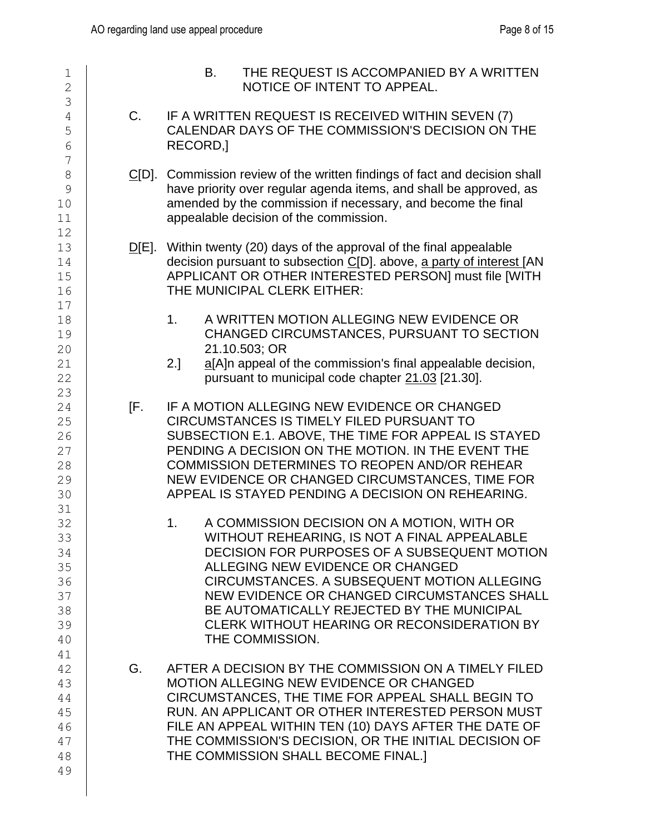| $\mathbf 1$<br>$\overline{2}$                            |               | B.<br>THE REQUEST IS ACCOMPANIED BY A WRITTEN<br>NOTICE OF INTENT TO APPEAL.                                                                                                                                                                                                                                                                                                                       |
|----------------------------------------------------------|---------------|----------------------------------------------------------------------------------------------------------------------------------------------------------------------------------------------------------------------------------------------------------------------------------------------------------------------------------------------------------------------------------------------------|
| 3<br>4<br>5<br>6<br>7                                    | C.            | IF A WRITTEN REQUEST IS RECEIVED WITHIN SEVEN (7)<br>CALENDAR DAYS OF THE COMMISSION'S DECISION ON THE<br>RECORD,                                                                                                                                                                                                                                                                                  |
| $\,8\,$<br>9<br>10<br>11<br>12                           | <u>C</u> [D]. | Commission review of the written findings of fact and decision shall<br>have priority over regular agenda items, and shall be approved, as<br>amended by the commission if necessary, and become the final<br>appealable decision of the commission.                                                                                                                                               |
| 13<br>14<br>15<br>16                                     |               | $D[E]$ . Within twenty (20) days of the approval of the final appealable<br>decision pursuant to subsection C[D]. above, a party of interest [AN<br>APPLICANT OR OTHER INTERESTED PERSON] must file [WITH<br>THE MUNICIPAL CLERK EITHER:                                                                                                                                                           |
| 17<br>18<br>19<br>20<br>21<br>22                         |               | A WRITTEN MOTION ALLEGING NEW EVIDENCE OR<br>1 <sub>1</sub><br>CHANGED CIRCUMSTANCES, PURSUANT TO SECTION<br>21.10.503; OR<br>a[A]n appeal of the commission's final appealable decision,<br>2.]<br>pursuant to municipal code chapter 21.03 [21.30].                                                                                                                                              |
| 23<br>24<br>25<br>26<br>27<br>28<br>29<br>30             | [F.           | IF A MOTION ALLEGING NEW EVIDENCE OR CHANGED<br><b>CIRCUMSTANCES IS TIMELY FILED PURSUANT TO</b><br>SUBSECTION E.1. ABOVE, THE TIME FOR APPEAL IS STAYED<br>PENDING A DECISION ON THE MOTION. IN THE EVENT THE<br><b>COMMISSION DETERMINES TO REOPEN AND/OR REHEAR</b><br>NEW EVIDENCE OR CHANGED CIRCUMSTANCES, TIME FOR<br>APPEAL IS STAYED PENDING A DECISION ON REHEARING.                     |
| 31<br>32<br>33<br>34<br>35<br>36<br>37<br>38<br>39<br>40 |               | A COMMISSION DECISION ON A MOTION, WITH OR<br>1.<br>WITHOUT REHEARING, IS NOT A FINAL APPEALABLE<br>DECISION FOR PURPOSES OF A SUBSEQUENT MOTION<br>ALLEGING NEW EVIDENCE OR CHANGED<br>CIRCUMSTANCES. A SUBSEQUENT MOTION ALLEGING<br>NEW EVIDENCE OR CHANGED CIRCUMSTANCES SHALL<br>BE AUTOMATICALLY REJECTED BY THE MUNICIPAL<br>CLERK WITHOUT HEARING OR RECONSIDERATION BY<br>THE COMMISSION. |
| 41<br>42<br>43<br>44<br>45<br>46<br>47<br>48<br>49       | G.            | AFTER A DECISION BY THE COMMISSION ON A TIMELY FILED<br><b>MOTION ALLEGING NEW EVIDENCE OR CHANGED</b><br>CIRCUMSTANCES, THE TIME FOR APPEAL SHALL BEGIN TO<br>RUN. AN APPLICANT OR OTHER INTERESTED PERSON MUST<br>FILE AN APPEAL WITHIN TEN (10) DAYS AFTER THE DATE OF<br>THE COMMISSION'S DECISION, OR THE INITIAL DECISION OF<br>THE COMMISSION SHALL BECOME FINAL.]                          |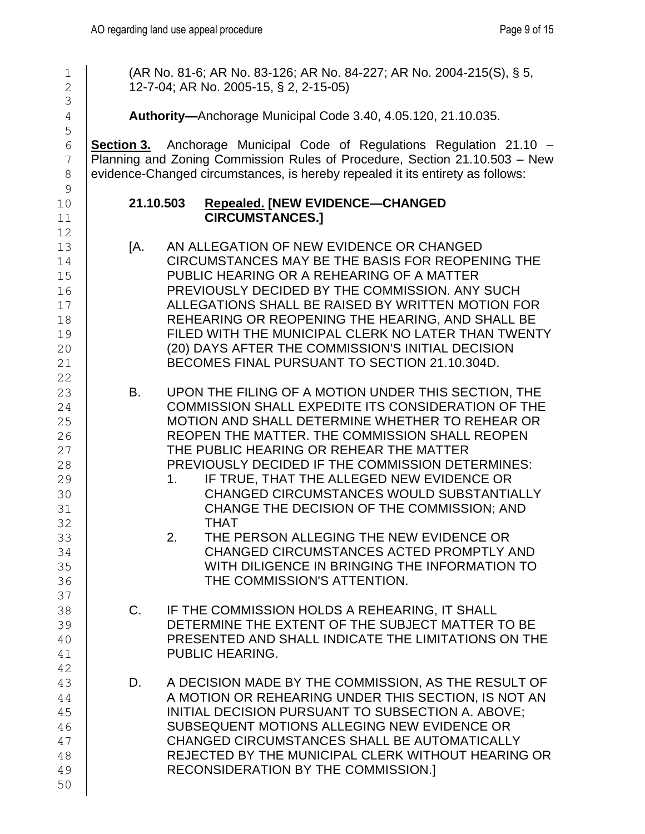1 (AR No. 81-6; AR No. 83-126; AR No. 84-227; AR No. 2004-215(S), § 5, 2 | 12-7-04; AR No. 2005-15, § 2, 2-15-05)

4 **Authority—**Anchorage Municipal Code 3.40, 4.05.120, 21.10.035.

6 **Section 3.** Anchorage Municipal Code of Regulations Regulation 21.10 – 7 Planning and Zoning Commission Rules of Procedure, Section 21.10.503 – New 8 evidence-Changed circumstances, is hereby repealed it its entirety as follows:

### 10 **21.10.503 Repealed. [NEW EVIDENCE—CHANGED**  11 **CIRCUMSTANCES.]**

- 13 | [A. AN ALLEGATION OF NEW EVIDENCE OR CHANGED 14 | CIRCUMSTANCES MAY BE THE BASIS FOR REOPENING THE 15 PUBLIC HEARING OR A REHEARING OF A MATTER 16 | PREVIOUSLY DECIDED BY THE COMMISSION. ANY SUCH 17 ALLEGATIONS SHALL BE RAISED BY WRITTEN MOTION FOR 18 **REHEARING OR REOPENING THE HEARING. AND SHALL BE** 19 | FILED WITH THE MUNICIPAL CLERK NO LATER THAN TWENTY 20 (20) DAYS AFTER THE COMMISSION'S INITIAL DECISION 21 BECOMES FINAL PURSUANT TO SECTION 21.10.304D.
- 23 B. UPON THE FILING OF A MOTION UNDER THIS SECTION, THE 24 COMMISSION SHALL EXPEDITE ITS CONSIDERATION OF THE 25 | MOTION AND SHALL DETERMINE WHETHER TO REHEAR OR 26 REOPEN THE MATTER. THE COMMISSION SHALL REOPEN 27 | THE PUBLIC HEARING OR REHEAR THE MATTER 28 | PREVIOUSLY DECIDED IF THE COMMISSION DETERMINES:
- 29 **1. IF TRUE, THAT THE ALLEGED NEW EVIDENCE OR** 30 CHANGED CIRCUMSTANCES WOULD SUBSTANTIALLY 31 | CHANGE THE DECISION OF THE COMMISSION; AND 32 THAT
- 33 2. THE PERSON ALLEGING THE NEW EVIDENCE OR 34 CHANGED CIRCUMSTANCES ACTED PROMPTLY AND 35 WITH DILIGENCE IN BRINGING THE INFORMATION TO 36 THE COMMISSION'S ATTENTION.
- 38 C. IF THE COMMISSION HOLDS A REHEARING, IT SHALL 39 DETERMINE THE EXTENT OF THE SUBJECT MATTER TO BE 40 PRESENTED AND SHALL INDICATE THE LIMITATIONS ON THE 41 | PUBLIC HEARING.
- 43 D. A DECISION MADE BY THE COMMISSION, AS THE RESULT OF 44 A MOTION OR REHEARING UNDER THIS SECTION, IS NOT AN 45 | INITIAL DECISION PURSUANT TO SUBSECTION A. ABOVE; 46 | SUBSEQUENT MOTIONS ALLEGING NEW EVIDENCE OR 47 | CHANGED CIRCUMSTANCES SHALL BE AUTOMATICALLY 48 | REJECTED BY THE MUNICIPAL CLERK WITHOUT HEARING OR 49 | RECONSIDERATION BY THE COMMISSION.]

50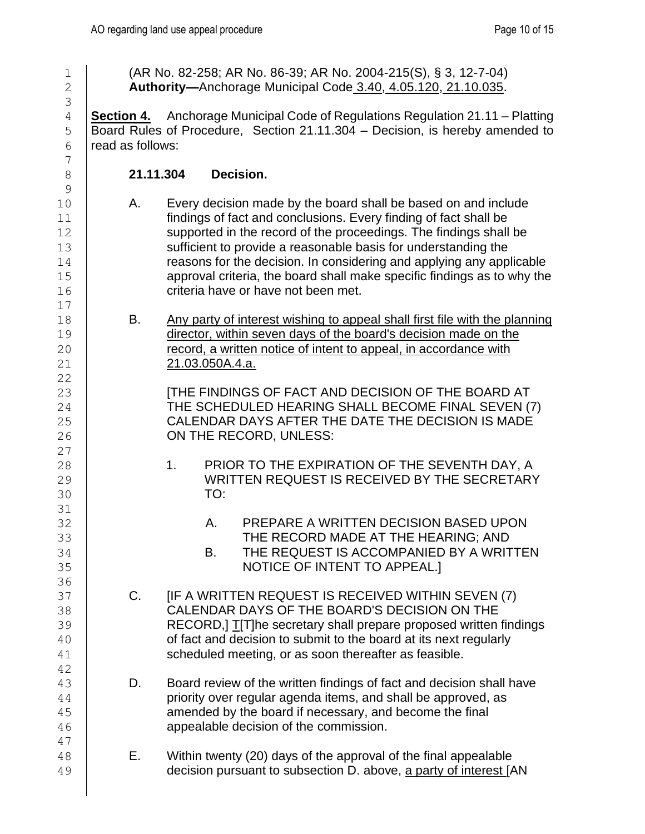1 | (AR No. 82-258; AR No. 86-39; AR No. 2004-215(S), § 3, 12-7-04) **Authority—**Anchorage Municipal Code [3.40,](https://library.municode.com/ak/anchorage/codes/code_of_ordinances?nodeId=TIT3AD_CH3.40MURE) [4.05.120,](https://library.municode.com/ak/anchorage/codes/code_of_ordinances?nodeId=TIT4BOCO_CH4.05APMEPR_4.05.120PRRUORBU) [21.10.035.](https://library.municode.com/ak/anchorage/codes/code_of_ordinances?nodeId=TIT21LAUSPLOLCOXPDE312015_CH21.10BOCOADOFOLCOXPDE312015_21.10.035HEOFRUPR) **Section 4.** Anchorage Municipal Code of Regulations Regulation 21.11 – Platting Board Rules of Procedure, Section 21.11.304 – Decision, is hereby amended to read as follows: **21.11.304 Decision.** 10 A. Every decision made by the board shall be based on and include findings of fact and conclusions. Every finding of fact shall be **Supported in the record of the proceedings. The findings shall be** 13 Sufficient to provide a reasonable basis for understanding the **Figure 2** reasons for the decision. In considering and applying any applicable approval criteria, the board shall make specific findings as to why the **Fig. 2** criteria have or have not been met. 18 B. Any party of interest wishing to appeal shall first file with the planning director, within seven days of the board's decision made on the **Fig. 20** record, a written notice of intent to appeal, in accordance with 21.03.050A.4.a. **INCO CONTRACT IN THE FINDINGS OF FACT AND DECISION OF THE BOARD AT** 24 | THE SCHEDULED HEARING SHALL BECOME FINAL SEVEN (7) 25 CALENDAR DAYS AFTER THE DATE THE DECISION IS MADE **ON THE RECORD, UNLESS: 1. PRIOR TO THE EXPIRATION OF THE SEVENTH DAY, A**  WRITTEN REQUEST IS RECEIVED BY THE SECRETARY TO: 32 A. PREPARE A WRITTEN DECISION BASED UPON THE RECORD MADE AT THE HEARING; AND 34 SALUES B. THE REQUEST IS ACCOMPANIED BY A WRITTEN 35 | NOTICE OF INTENT TO APPEAL.] 37 | C. [IF A WRITTEN REQUEST IS RECEIVED WITHIN SEVEN (7) CALENDAR DAYS OF THE BOARD'S DECISION ON THE 39 | RECORD, T[T]he secretary shall prepare proposed written findings **Fact and decision to submit to the board at its next regularly** 41 | scheduled meeting, or as soon thereafter as feasible. **D.** Board review of the written findings of fact and decision shall have priority over regular agenda items, and shall be approved, as 45  $\vert$  amended by the board if necessary, and become the final **46 appealable decision of the commission. E.** Within twenty (20) days of the approval of the final appealable **decision pursuant to subsection D. above, a party of interest JAN**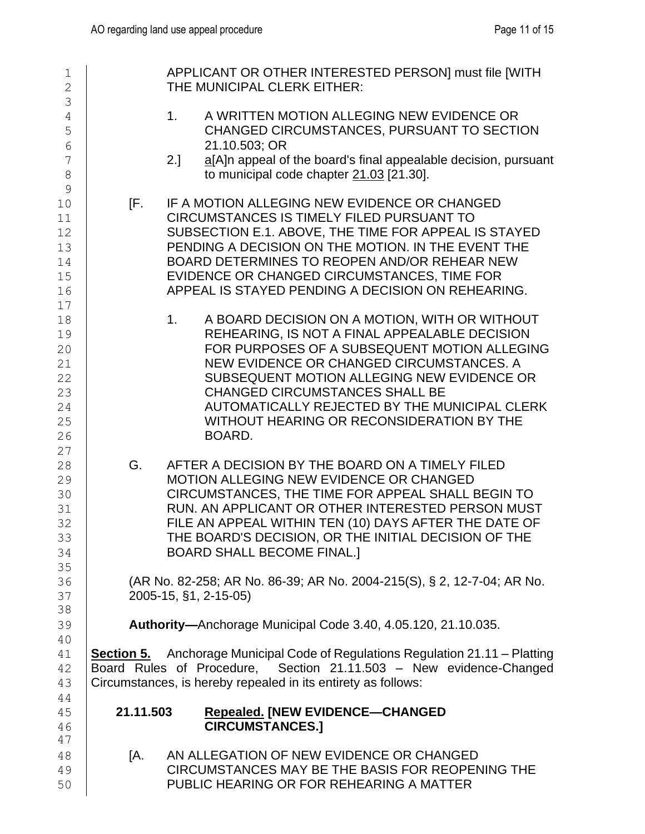| $\mathbf 1$<br>$\overline{2}$                            |           | APPLICANT OR OTHER INTERESTED PERSON] must file [WITH<br>THE MUNICIPAL CLERK EITHER:                                                                                                                                                                                                                                                                                                                        |
|----------------------------------------------------------|-----------|-------------------------------------------------------------------------------------------------------------------------------------------------------------------------------------------------------------------------------------------------------------------------------------------------------------------------------------------------------------------------------------------------------------|
| 3<br>4<br>5<br>6                                         |           | A WRITTEN MOTION ALLEGING NEW EVIDENCE OR<br>1.<br>CHANGED CIRCUMSTANCES, PURSUANT TO SECTION<br>21.10.503; OR                                                                                                                                                                                                                                                                                              |
| 7<br>$\,8\,$<br>9                                        |           | a[A]n appeal of the board's final appealable decision, pursuant<br>2.1<br>to municipal code chapter 21.03 [21.30].                                                                                                                                                                                                                                                                                          |
| $10$<br>11<br>12<br>13<br>14<br>15<br>16<br>17           | [F.       | IF A MOTION ALLEGING NEW EVIDENCE OR CHANGED<br>CIRCUMSTANCES IS TIMELY FILED PURSUANT TO<br>SUBSECTION E.1. ABOVE, THE TIME FOR APPEAL IS STAYED<br>PENDING A DECISION ON THE MOTION. IN THE EVENT THE<br>BOARD DETERMINES TO REOPEN AND/OR REHEAR NEW<br>EVIDENCE OR CHANGED CIRCUMSTANCES, TIME FOR<br>APPEAL IS STAYED PENDING A DECISION ON REHEARING.                                                 |
| 18<br>19<br>20<br>21<br>22<br>23<br>24<br>25<br>26<br>27 |           | A BOARD DECISION ON A MOTION, WITH OR WITHOUT<br>1 <sub>1</sub><br>REHEARING, IS NOT A FINAL APPEALABLE DECISION<br>FOR PURPOSES OF A SUBSEQUENT MOTION ALLEGING<br>NEW EVIDENCE OR CHANGED CIRCUMSTANCES. A<br>SUBSEQUENT MOTION ALLEGING NEW EVIDENCE OR<br><b>CHANGED CIRCUMSTANCES SHALL BE</b><br>AUTOMATICALLY REJECTED BY THE MUNICIPAL CLERK<br>WITHOUT HEARING OR RECONSIDERATION BY THE<br>BOARD. |
| 28<br>29<br>30<br>31<br>32<br>33<br>34                   | G.        | AFTER A DECISION BY THE BOARD ON A TIMELY FILED<br>MOTION ALLEGING NEW EVIDENCE OR CHANGED<br>CIRCUMSTANCES, THE TIME FOR APPEAL SHALL BEGIN TO<br>RUN. AN APPLICANT OR OTHER INTERESTED PERSON MUST<br>FILE AN APPEAL WITHIN TEN (10) DAYS AFTER THE DATE OF<br>THE BOARD'S DECISION, OR THE INITIAL DECISION OF THE<br><b>BOARD SHALL BECOME FINAL.]</b>                                                  |
| 35<br>36<br>37<br>38                                     |           | (AR No. 82-258; AR No. 86-39; AR No. 2004-215(S), § 2, 12-7-04; AR No.<br>2005-15, §1, 2-15-05)                                                                                                                                                                                                                                                                                                             |
| 39<br>40                                                 |           | <b>Authority-Anchorage Municipal Code 3.40, 4.05.120, 21.10.035.</b>                                                                                                                                                                                                                                                                                                                                        |
| 41<br>42<br>43<br>44                                     |           | <b>Section 5.</b> Anchorage Municipal Code of Regulations Regulation 21.11 – Platting<br>Board Rules of Procedure, Section 21.11.503 - New evidence-Changed<br>Circumstances, is hereby repealed in its entirety as follows:                                                                                                                                                                                |
| 45<br>46<br>47                                           | 21.11.503 | <b>Repealed. [NEW EVIDENCE-CHANGED</b><br><b>CIRCUMSTANCES.]</b>                                                                                                                                                                                                                                                                                                                                            |
| 48<br>49<br>50                                           | [A.       | AN ALLEGATION OF NEW EVIDENCE OR CHANGED<br>CIRCUMSTANCES MAY BE THE BASIS FOR REOPENING THE<br>PUBLIC HEARING OR FOR REHEARING A MATTER                                                                                                                                                                                                                                                                    |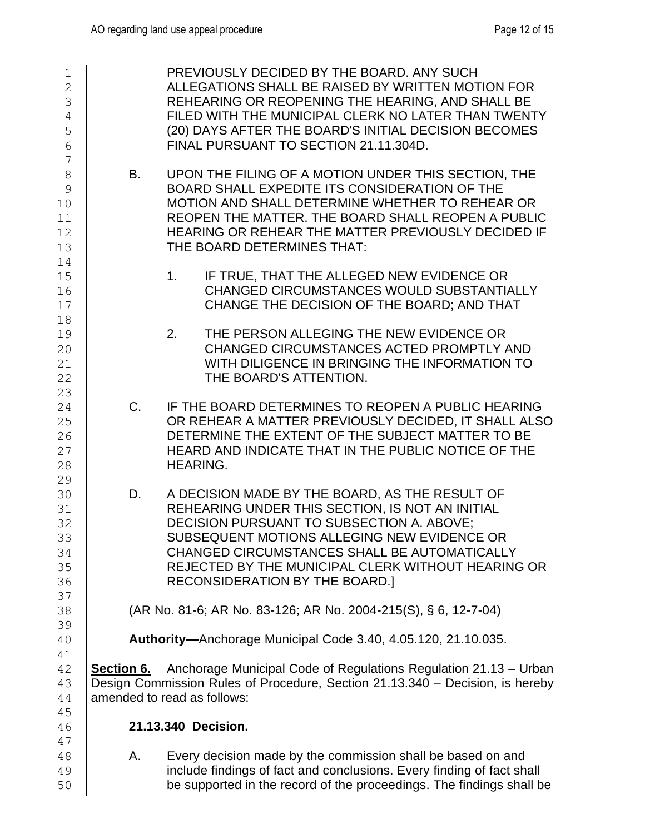| 1<br>$\overline{2}$<br>3<br>$\overline{4}$<br>5<br>6 |             | PREVIOUSLY DECIDED BY THE BOARD. ANY SUCH<br>ALLEGATIONS SHALL BE RAISED BY WRITTEN MOTION FOR<br>REHEARING OR REOPENING THE HEARING, AND SHALL BE<br>FILED WITH THE MUNICIPAL CLERK NO LATER THAN TWENTY<br>(20) DAYS AFTER THE BOARD'S INITIAL DECISION BECOMES<br>FINAL PURSUANT TO SECTION 21.11.304D.                            |
|------------------------------------------------------|-------------|---------------------------------------------------------------------------------------------------------------------------------------------------------------------------------------------------------------------------------------------------------------------------------------------------------------------------------------|
| 7<br>$\,8\,$<br>9<br>10<br>11<br>12<br>13<br>14      | <b>B.</b>   | UPON THE FILING OF A MOTION UNDER THIS SECTION, THE<br>BOARD SHALL EXPEDITE ITS CONSIDERATION OF THE<br>MOTION AND SHALL DETERMINE WHETHER TO REHEAR OR<br>REOPEN THE MATTER. THE BOARD SHALL REOPEN A PUBLIC<br>HEARING OR REHEAR THE MATTER PREVIOUSLY DECIDED IF<br>THE BOARD DETERMINES THAT:                                     |
| 15<br>16<br>17<br>18                                 |             | 1.<br>IF TRUE, THAT THE ALLEGED NEW EVIDENCE OR<br>CHANGED CIRCUMSTANCES WOULD SUBSTANTIALLY<br>CHANGE THE DECISION OF THE BOARD; AND THAT                                                                                                                                                                                            |
| 19<br>20<br>21<br>22<br>23                           |             | THE PERSON ALLEGING THE NEW EVIDENCE OR<br>2.<br>CHANGED CIRCUMSTANCES ACTED PROMPTLY AND<br>WITH DILIGENCE IN BRINGING THE INFORMATION TO<br>THE BOARD'S ATTENTION.                                                                                                                                                                  |
| 24<br>25<br>26<br>27<br>28<br>29                     | $C_{\cdot}$ | IF THE BOARD DETERMINES TO REOPEN A PUBLIC HEARING<br>OR REHEAR A MATTER PREVIOUSLY DECIDED, IT SHALL ALSO<br>DETERMINE THE EXTENT OF THE SUBJECT MATTER TO BE<br>HEARD AND INDICATE THAT IN THE PUBLIC NOTICE OF THE<br><b>HEARING.</b>                                                                                              |
| 30<br>31<br>32<br>33<br>34<br>35<br>36<br>37         | D.          | A DECISION MADE BY THE BOARD, AS THE RESULT OF<br>REHEARING UNDER THIS SECTION, IS NOT AN INITIAL<br>DECISION PURSUANT TO SUBSECTION A. ABOVE;<br>SUBSEQUENT MOTIONS ALLEGING NEW EVIDENCE OR<br>CHANGED CIRCUMSTANCES SHALL BE AUTOMATICALLY<br>REJECTED BY THE MUNICIPAL CLERK WITHOUT HEARING OR<br>RECONSIDERATION BY THE BOARD.] |
| 38<br>39                                             |             | (AR No. 81-6; AR No. 83-126; AR No. 2004-215(S), § 6, 12-7-04)                                                                                                                                                                                                                                                                        |
| 40<br>41                                             |             | Authority-Anchorage Municipal Code 3.40, 4.05.120, 21.10.035.                                                                                                                                                                                                                                                                         |
| 42<br>43<br>44                                       | Section 6.  | Anchorage Municipal Code of Regulations Regulation 21.13 - Urban<br>Design Commission Rules of Procedure, Section 21.13.340 - Decision, is hereby<br>amended to read as follows:                                                                                                                                                      |
| 45<br>46                                             |             | 21.13.340 Decision.                                                                                                                                                                                                                                                                                                                   |
| 47<br>48<br>49                                       | Α.          | Every decision made by the commission shall be based on and<br>include findings of fact and conclusions. Every finding of fact shall                                                                                                                                                                                                  |

**be supported in the record of the proceedings. The findings shall be**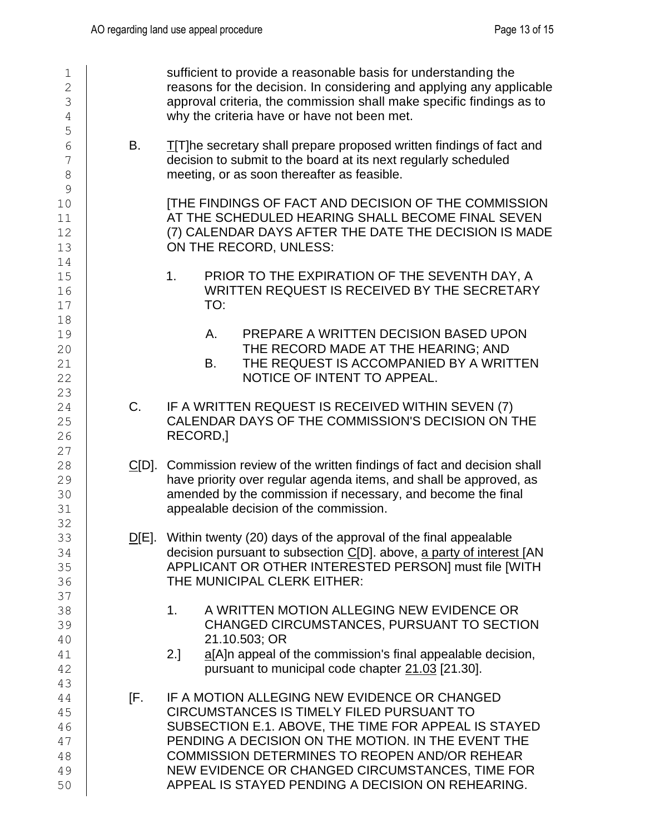| 1<br>$\overline{2}$<br>3<br>$\sqrt{4}$<br>5 |     | sufficient to provide a reasonable basis for understanding the<br>reasons for the decision. In considering and applying any applicable<br>approval criteria, the commission shall make specific findings as to<br>why the criteria have or have not been met.                                                                                                    |
|---------------------------------------------|-----|------------------------------------------------------------------------------------------------------------------------------------------------------------------------------------------------------------------------------------------------------------------------------------------------------------------------------------------------------------------|
| 6<br>7<br>8                                 | В.  | <b>T</b> [T]he secretary shall prepare proposed written findings of fact and<br>decision to submit to the board at its next regularly scheduled<br>meeting, or as soon thereafter as feasible.                                                                                                                                                                   |
| 9<br>10<br>11<br>12<br>13                   |     | <b>[THE FINDINGS OF FACT AND DECISION OF THE COMMISSION</b><br>AT THE SCHEDULED HEARING SHALL BECOME FINAL SEVEN<br>(7) CALENDAR DAYS AFTER THE DATE THE DECISION IS MADE<br>ON THE RECORD, UNLESS:                                                                                                                                                              |
| 14<br>15<br>16<br>17                        |     | PRIOR TO THE EXPIRATION OF THE SEVENTH DAY, A<br>1 <sub>1</sub><br>WRITTEN REQUEST IS RECEIVED BY THE SECRETARY<br>TO:                                                                                                                                                                                                                                           |
| 18<br>19<br>20<br>21<br>22                  |     | PREPARE A WRITTEN DECISION BASED UPON<br>Α.<br>THE RECORD MADE AT THE HEARING; AND<br>THE REQUEST IS ACCOMPANIED BY A WRITTEN<br><b>B.</b><br>NOTICE OF INTENT TO APPEAL.                                                                                                                                                                                        |
| 23<br>24<br>25<br>26<br>27                  | C.  | IF A WRITTEN REQUEST IS RECEIVED WITHIN SEVEN (7)<br>CALENDAR DAYS OF THE COMMISSION'S DECISION ON THE<br>RECORD,                                                                                                                                                                                                                                                |
| 28<br>29<br>30<br>31                        |     | C[D]. Commission review of the written findings of fact and decision shall<br>have priority over regular agenda items, and shall be approved, as<br>amended by the commission if necessary, and become the final<br>appealable decision of the commission.                                                                                                       |
| 32<br>33<br>34<br>35<br>36                  |     | D[E]. Within twenty (20) days of the approval of the final appealable<br>decision pursuant to subsection C[D]. above, a party of interest [AN<br>APPLICANT OR OTHER INTERESTED PERSON] must file [WITH<br>THE MUNICIPAL CLERK EITHER:                                                                                                                            |
| 37<br>38<br>39<br>40<br>41                  |     | A WRITTEN MOTION ALLEGING NEW EVIDENCE OR<br>1 <sub>1</sub><br>CHANGED CIRCUMSTANCES, PURSUANT TO SECTION<br>21.10.503; OR<br>a[A]n appeal of the commission's final appealable decision,<br>2.1                                                                                                                                                                 |
| 42<br>43                                    |     | pursuant to municipal code chapter 21.03 [21.30].                                                                                                                                                                                                                                                                                                                |
| 44<br>45<br>46<br>47<br>48<br>49<br>50      | IF. | IF A MOTION ALLEGING NEW EVIDENCE OR CHANGED<br>CIRCUMSTANCES IS TIMELY FILED PURSUANT TO<br>SUBSECTION E.1. ABOVE, THE TIME FOR APPEAL IS STAYED<br>PENDING A DECISION ON THE MOTION. IN THE EVENT THE<br>COMMISSION DETERMINES TO REOPEN AND/OR REHEAR<br>NEW EVIDENCE OR CHANGED CIRCUMSTANCES, TIME FOR<br>APPEAL IS STAYED PENDING A DECISION ON REHEARING. |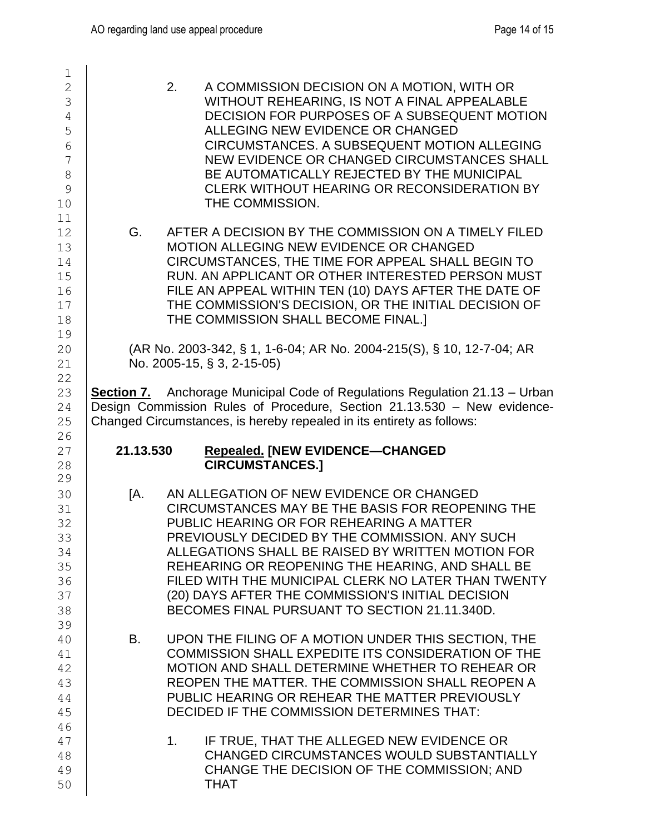| $\mathbf 1$<br>$\overline{2}$<br>3<br>$\sqrt{4}$<br>5<br>$6\phantom{1}6$<br>$\overline{7}$<br>$8\,$<br>9<br>10 |           | 2.<br>A COMMISSION DECISION ON A MOTION, WITH OR<br>WITHOUT REHEARING, IS NOT A FINAL APPEALABLE<br>DECISION FOR PURPOSES OF A SUBSEQUENT MOTION<br>ALLEGING NEW EVIDENCE OR CHANGED<br>CIRCUMSTANCES. A SUBSEQUENT MOTION ALLEGING<br>NEW EVIDENCE OR CHANGED CIRCUMSTANCES SHALL<br>BE AUTOMATICALLY REJECTED BY THE MUNICIPAL<br>CLERK WITHOUT HEARING OR RECONSIDERATION BY<br>THE COMMISSION.                                                               |
|----------------------------------------------------------------------------------------------------------------|-----------|------------------------------------------------------------------------------------------------------------------------------------------------------------------------------------------------------------------------------------------------------------------------------------------------------------------------------------------------------------------------------------------------------------------------------------------------------------------|
| 11<br>12<br>13<br>14<br>15<br>16<br>17<br>18<br>19                                                             | G.        | AFTER A DECISION BY THE COMMISSION ON A TIMELY FILED<br><b>MOTION ALLEGING NEW EVIDENCE OR CHANGED</b><br>CIRCUMSTANCES, THE TIME FOR APPEAL SHALL BEGIN TO<br>RUN, AN APPLICANT OR OTHER INTERESTED PERSON MUST<br>FILE AN APPEAL WITHIN TEN (10) DAYS AFTER THE DATE OF<br>THE COMMISSION'S DECISION, OR THE INITIAL DECISION OF<br>THE COMMISSION SHALL BECOME FINAL.]                                                                                        |
| 20<br>21<br>22                                                                                                 |           | (AR No. 2003-342, § 1, 1-6-04; AR No. 2004-215(S), § 10, 12-7-04; AR<br>No. 2005-15, § 3, 2-15-05)                                                                                                                                                                                                                                                                                                                                                               |
| 23<br>24<br>25<br>26                                                                                           |           | <b>Section 7.</b> Anchorage Municipal Code of Regulations Regulation 21.13 – Urban<br>Design Commission Rules of Procedure, Section 21.13.530 - New evidence-<br>Changed Circumstances, is hereby repealed in its entirety as follows:                                                                                                                                                                                                                           |
| 27<br>28                                                                                                       | 21.13.530 | <b>Repealed. [NEW EVIDENCE-CHANGED</b><br><b>CIRCUMSTANCES.]</b>                                                                                                                                                                                                                                                                                                                                                                                                 |
| 29<br>30<br>31<br>32<br>33<br>34<br>35<br>36<br>37<br>38                                                       | IA.       | AN ALLEGATION OF NEW EVIDENCE OR CHANGED<br>CIRCUMSTANCES MAY BE THE BASIS FOR REOPENING THE<br>PUBLIC HEARING OR FOR REHEARING A MATTER<br>PREVIOUSLY DECIDED BY THE COMMISSION. ANY SUCH<br>ALLEGATIONS SHALL BE RAISED BY WRITTEN MOTION FOR<br>REHEARING OR REOPENING THE HEARING, AND SHALL BE<br>FILED WITH THE MUNICIPAL CLERK NO LATER THAN TWENTY<br>(20) DAYS AFTER THE COMMISSION'S INITIAL DECISION<br>BECOMES FINAL PURSUANT TO SECTION 21.11.340D. |
| 39<br>40<br>41<br>42<br>43<br>44<br>45                                                                         | B.        | UPON THE FILING OF A MOTION UNDER THIS SECTION, THE<br>COMMISSION SHALL EXPEDITE ITS CONSIDERATION OF THE<br>MOTION AND SHALL DETERMINE WHETHER TO REHEAR OR<br>REOPEN THE MATTER. THE COMMISSION SHALL REOPEN A<br>PUBLIC HEARING OR REHEAR THE MATTER PREVIOUSLY<br>DECIDED IF THE COMMISSION DETERMINES THAT:                                                                                                                                                 |
| 46<br>47<br>48<br>49                                                                                           |           | IF TRUE, THAT THE ALLEGED NEW EVIDENCE OR<br>$1_{\cdot}$<br>CHANGED CIRCUMSTANCES WOULD SUBSTANTIALLY<br>CHANGE THE DECISION OF THE COMMISSION; AND                                                                                                                                                                                                                                                                                                              |